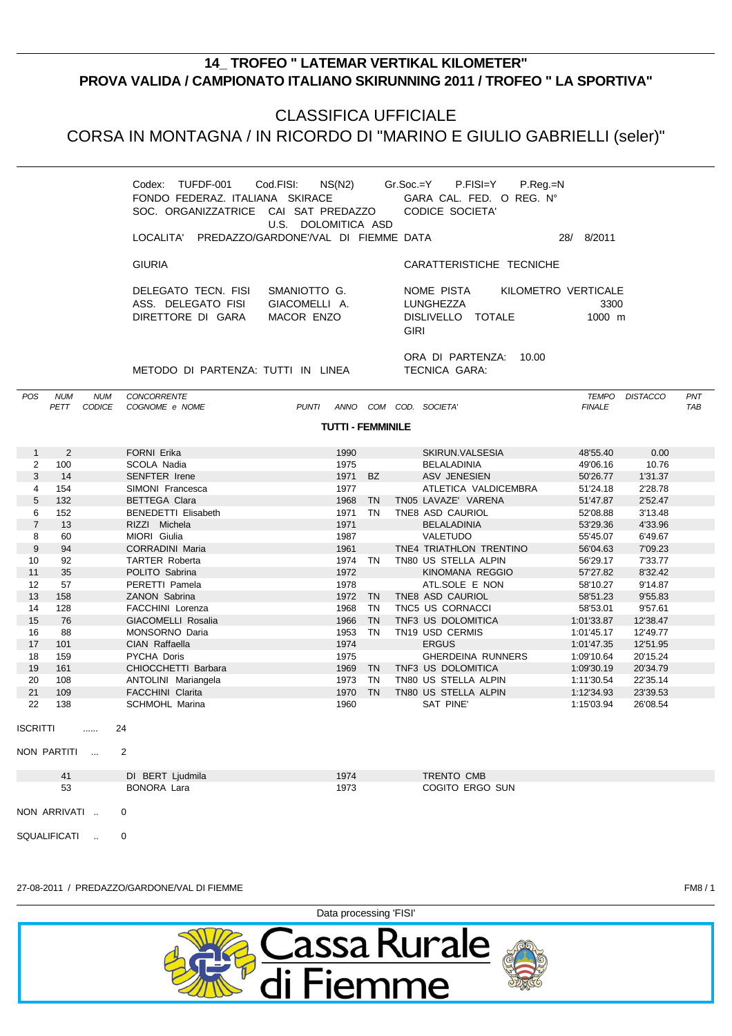# **14\_TROFEO " LATEMAR VERTIKAL KILOMETER"** PROVA VALIDA / CAMPIONATO ITALIANO SKIRUNNING 2011 / TROFEO " LA SPORTIVA"

### **CLASSIFICA UFFICIALE**

CORSA IN MONTAGNA / IN RICORDO DI "MARINO E GIULIO GABRIELLI (seler)"

|                    |                      |                                                                                                                                                     | <b>TUTTI - FEMMINILE</b>                    |                                                                                    |                                                  |                   |
|--------------------|----------------------|-----------------------------------------------------------------------------------------------------------------------------------------------------|---------------------------------------------|------------------------------------------------------------------------------------|--------------------------------------------------|-------------------|
| <b>NUM</b><br>PETT | <b>NUM</b><br>CODICE | <b>CONCORRENTE</b><br>COGNOME e NOME                                                                                                                | COM<br>PUNTI<br>ANNO                        | COD. SOCIETA'                                                                      | <b>DISTACCO</b><br><b>TEMPO</b><br><b>FINALE</b> | PNT<br><b>TAB</b> |
|                    |                      | METODO DI PARTENZA: TUTTI IN LINEA                                                                                                                  |                                             | ORA DI PARTENZA:<br>10.00<br>TECNICA GARA:                                         |                                                  |                   |
|                    |                      | DELEGATO TECN. FISI<br>ASS. DELEGATO FISI<br>DIRETTORE DI GARA                                                                                      | SMANIOTTO G.<br>GIACOMELLI A.<br>MACOR ENZO | KILOMETRO VERTICALE<br>NOME PISTA<br>LUNGHEZZA<br>DISLIVELLO TOTALE<br><b>GIRI</b> | 3300<br>$1000 \; \text{m}$                       |                   |
|                    |                      | <b>GIURIA</b>                                                                                                                                       |                                             | CARATTERISTICHE TECNICHE                                                           |                                                  |                   |
|                    |                      | Codex:<br>FONDO FEDERAZ, ITALIANA SKIRACE<br>SOC. ORGANIZZATRICE CAI SAT PREDAZZO CODICE SOCIETA'<br>LOCALITA' PREDAZZO/GARDONE'/VAL DI FIEMME DATA | U.S. DOLOMITICA ASD                         | $P_{\cdot}$ Reg $_{\cdot}$ =N<br>GARA CAL. FED. O REG. N°                          | 8/2011<br>28/                                    |                   |
|                    |                      |                                                                                                                                                     |                                             |                                                                                    |                                                  |                   |

|                 | 2   | FORNI Erika                | 1990    |           | SKIRUN.VALSESIA             | 48'55.40   | 0.00     |  |
|-----------------|-----|----------------------------|---------|-----------|-----------------------------|------------|----------|--|
| $\overline{2}$  | 100 | SCOLA Nadia                | 1975    |           | BELALADINIA                 | 49'06.16   | 10.76    |  |
| 3               | 14  | SENFTER Irene              | 1971 BZ |           | ASV JENESIEN                | 50'26.77   | 1'31.37  |  |
| 4               | 154 | SIMONI Francesca           | 1977    |           | ATLETICA VALDICEMBRA        | 51'24.18   | 2'28.78  |  |
| 5               | 132 | <b>BETTEGA Clara</b>       | 1968    | <b>TN</b> | TN05 LAVAZE' VARENA         | 51'47.87   | 2'52.47  |  |
| 6               | 152 | <b>BENEDETTI Elisabeth</b> | 1971    | TN        | TNE8 ASD CAURIOL            | 52'08.88   | 3'13.48  |  |
| $\overline{7}$  | 13  | RIZZI Michela              | 1971    |           | BELALADINIA                 | 53'29.36   | 4'33.96  |  |
| 8               | 60  | MIORI Giulia               | 1987    |           | VALETUDO                    | 55'45.07   | 6'49.67  |  |
| 9               | 94  | <b>CORRADINI Maria</b>     | 1961    |           | TNE4 TRIATHLON TRENTINO     | 56'04.63   | 7'09.23  |  |
| 10              | 92  | <b>TARTER Roberta</b>      | 1974    | TN.       | TN80 US STELLA ALPIN        | 56'29.17   | 7'33.77  |  |
| 11              | 35  | POLITO Sabrina             | 1972    |           | KINOMANA REGGIO             | 57'27.82   | 8'32.42  |  |
| 12              | 57  | PERETTI Pamela             | 1978    |           | ATL.SOLE E NON              | 58'10.27   | 9'14.87  |  |
| 13              | 158 | ZANON Sabrina              | 1972    | <b>TN</b> | TNE8 ASD CAURIOL            | 58'51.23   | 9'55.83  |  |
| 14              | 128 | <b>FACCHINI Lorenza</b>    | 1968    | <b>TN</b> | TNC5 US CORNACCI            | 58'53.01   | 9'57.61  |  |
| 15              | 76  | GIACOMELLI Rosalia         | 1966    | <b>TN</b> | TNF3 US DOLOMITICA          | 1:01'33.87 | 12'38.47 |  |
| 16              | 88  | MONSORNO Daria             | 1953    | <b>TN</b> | TN <sub>19</sub> USD CERMIS | 1:01'45.17 | 12'49.77 |  |
| 17              | 101 | CIAN Raffaella             | 1974    |           | <b>ERGUS</b>                | 1:01'47.35 | 12'51.95 |  |
| 18              | 159 | PYCHA Doris                | 1975    |           | <b>GHERDEINA RUNNERS</b>    | 1:09'10.64 | 20'15.24 |  |
| 19              | 161 | CHIOCCHETTI Barbara        | 1969    | <b>TN</b> | TNF3 US DOLOMITICA          | 1:09'30.19 | 20'34.79 |  |
| 20              | 108 | ANTOLINI Mariangela        | 1973    | TN        | TN80 US STELLA ALPIN        | 1:11'30.54 | 22'35.14 |  |
| 21              | 109 | <b>FACCHINI Clarita</b>    | 1970    | <b>TN</b> | TN80 US STELLA ALPIN        | 1:12'34.93 | 23'39.53 |  |
| 22              | 138 | <b>SCHMOHL Marina</b>      | 1960    |           | SAT PINE'                   | 1:15'03.94 | 26'08.54 |  |
|                 |     |                            |         |           |                             |            |          |  |
| <b>ISCRITTI</b> |     | 24<br>                     |         |           |                             |            |          |  |

```
NON PARTITI ...
             \overline{2}
```
POS

| 41           | DI BERT Ljudmila | 1974 | TRENTO CMB      |
|--------------|------------------|------|-----------------|
| 53           | BONORA Lara      | 1973 | COGITO ERGO SUN |
| NON ARRIVATI |                  |      |                 |

SQUALIFICATI ..  $\overline{0}$ 

#### 27-08-2011 / PREDAZZO/GARDONE/VAL DI FIEMME



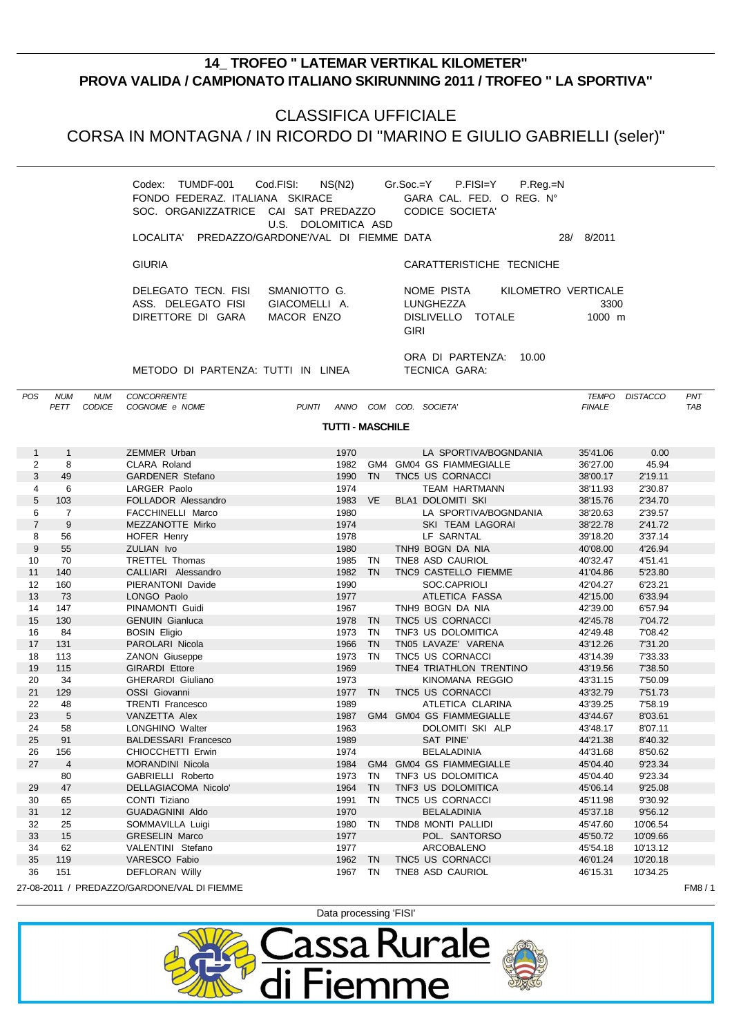## **14\_ TROFEO " LATEMAR VERTIKAL KILOMETER" PROVA VALIDA / CAMPIONATO ITALIANO SKIRUNNING 2011 / TROFEO " LA SPORTIVA"**

### CLASSIFICA UFFICIALE

CORSA IN MONTAGNA / IN RICORDO DI "MARINO E GIULIO GABRIELLI (seler)"

| NS(N2)<br>TUMDF-001 Cod.FISI:<br>Codex:<br>FONDO FEDERAZ. ITALIANA SKIRACE GARA CAL. FED. O REG. N°<br>SOC. ORGANIZZATRICE CAI SAT PREDAZZO<br>U.S. DOLOMITICA ASD | Gr.Soc.=Y  P.FISI=Y<br>$P_{R}$ eq. $=N$<br>CODICE SOCIETA'                                                       |
|--------------------------------------------------------------------------------------------------------------------------------------------------------------------|------------------------------------------------------------------------------------------------------------------|
| LOCALITA' PREDAZZO/GARDONE'/VAL DI FIEMME DATA                                                                                                                     | 8/2011<br>28/                                                                                                    |
| <b>GIURIA</b>                                                                                                                                                      | CARATTERISTICHE TECNICHE                                                                                         |
| DELEGATO TECN. FISI<br>SMANIOTTO G.<br>ASS. DELEGATO FISI<br>GIACOMELLI A.<br>MACOR ENZO<br>DIRETTORE DI GARA                                                      | KILOMETRO VERTICALE<br>NOME PISTA<br>LUNGHEZZA<br>3300<br>DISLIVELLO TOTALE<br>$1000 \; \text{m}$<br><b>GIRI</b> |
| METODO DI PARTENZA: TUTTI IN LINEA                                                                                                                                 | ORA DI PARTENZA:<br>10.00<br>TECNICA GARA:                                                                       |

POS NUM NUM CONCORRENTE PETT CODICE COGNOME e NOME **PUNTI ANNO COM COD. SOCIETA'** FINALE FINALE TAB

**TUTTI - MASCHILE**

| $\mathbf{1}$   | $\mathbf{1}$   | ZEMMER Urban                                | 1970    |           | LA SPORTIVA/BOGNDANIA    | 35'41.06 | 0.00     |       |
|----------------|----------------|---------------------------------------------|---------|-----------|--------------------------|----------|----------|-------|
| 2              | 8              | CLARA Roland                                | 1982    |           | GM4 GM04 GS FIAMMEGIALLE | 36'27.00 | 45.94    |       |
| 3              | 49             | <b>GARDENER Stefano</b>                     | 1990    | <b>TN</b> | TNC5 US CORNACCI         | 38'00.17 | 2'19.11  |       |
| 4              | 6              | LARGER Paolo                                | 1974    |           | <b>TEAM HARTMANN</b>     | 38'11.93 | 2'30.87  |       |
| 5              | 103            | FOLLADOR Alessandro                         | 1983 VE |           | <b>BLA1 DOLOMITI SKI</b> | 38'15.76 | 2'34.70  |       |
| 6              | $\overline{7}$ | FACCHINELLI Marco                           | 1980    |           | LA SPORTIVA/BOGNDANIA    | 38'20.63 | 2'39.57  |       |
| $\overline{7}$ | 9              | MEZZANOTTE Mirko                            | 1974    |           | SKI TEAM LAGORAI         | 38'22.78 | 2'41.72  |       |
| 8              | 56             | HOFER Henry                                 | 1978    |           | LF SARNTAL               | 39'18.20 | 3'37.14  |       |
| 9              | 55             | <b>ZULIAN Ivo</b>                           | 1980    |           | TNH9 BOGN DA NIA         | 40'08.00 | 4'26.94  |       |
| 10             | 70             | <b>TRETTEL Thomas</b>                       | 1985    | <b>TN</b> | TNE8 ASD CAURIOL         | 40'32.47 | 4'51.41  |       |
| 11             | 140            | CALLIARI Alessandro                         | 1982 TN |           | TNC9 CASTELLO FIEMME     | 41'04.86 | 5'23.80  |       |
| 12             | 160            | PIERANTONI Davide                           | 1990    |           | SOC.CAPRIOLI             | 42'04.27 | 6'23.21  |       |
| 13             | 73             | LONGO Paolo                                 | 1977    |           | ATLETICA FASSA           | 42'15.00 | 6'33.94  |       |
| 14             | 147            | PINAMONTI Guidi                             | 1967    |           | TNH9 BOGN DA NIA         | 42'39.00 | 6'57.94  |       |
| 15             | 130            | <b>GENUIN Gianluca</b>                      | 1978    | <b>TN</b> | TNC5 US CORNACCI         | 42'45.78 | 7'04.72  |       |
| 16             | 84             | <b>BOSIN Eligio</b>                         | 1973    | <b>TN</b> | TNF3 US DOLOMITICA       | 42'49.48 | 7'08.42  |       |
| 17             | 131            | PAROLARI Nicola                             | 1966    | <b>TN</b> | TN05 LAVAZE' VARENA      | 43'12.26 | 7'31.20  |       |
| 18             | 113            | <b>ZANON Giuseppe</b>                       | 1973    | <b>TN</b> | TNC5 US CORNACCI         | 43'14.39 | 7'33.33  |       |
| 19             | 115            | <b>GIRARDI Ettore</b>                       | 1969    |           | TNE4 TRIATHLON TRENTINO  | 43'19.56 | 7'38.50  |       |
| 20             | 34             | GHERARDI Giuliano                           | 1973    |           | KINOMANA REGGIO          | 43'31.15 | 7'50.09  |       |
| 21             | 129            | OSSI Giovanni                               | 1977    | <b>TN</b> | TNC5 US CORNACCI         | 43'32.79 | 7'51.73  |       |
| 22             | 48             | <b>TRENTI Francesco</b>                     | 1989    |           | ATLETICA CLARINA         | 43'39.25 | 7'58.19  |       |
| 23             | 5              | VANZETTA Alex                               | 1987    |           | GM4 GM04 GS FIAMMEGIALLE | 43'44.67 | 8'03.61  |       |
| 24             | 58             | <b>LONGHINO Walter</b>                      | 1963    |           | DOLOMITI SKI ALP         | 43'48.17 | 8'07.11  |       |
| 25             | 91             | <b>BALDESSARI Francesco</b>                 | 1989    |           | SAT PINE'                | 44'21.38 | 8'40.32  |       |
| 26             | 156            | CHIOCCHETTI Erwin                           | 1974    |           | <b>BELALADINIA</b>       | 44'31.68 | 8'50.62  |       |
| 27             | $\overline{4}$ | <b>MORANDINI Nicola</b>                     | 1984    |           | GM4 GM04 GS FIAMMEGIALLE | 45'04.40 | 9'23.34  |       |
|                | 80             | GABRIELLI Roberto                           | 1973    | <b>TN</b> | TNF3 US DOLOMITICA       | 45'04.40 | 9'23.34  |       |
| 29             | 47             | DELLAGIACOMA Nicolo'                        | 1964    | <b>TN</b> | TNF3 US DOLOMITICA       | 45'06.14 | 9'25.08  |       |
| 30             | 65             | CONTI Tiziano                               | 1991    | <b>TN</b> | TNC5 US CORNACCI         | 45'11.98 | 9'30.92  |       |
| 31             | 12             | <b>GUADAGNINI Aldo</b>                      | 1970    |           | <b>BELALADINIA</b>       | 45'37.18 | 9'56.12  |       |
| 32             | 25             | SOMMAVILLA Luigi                            | 1980    | TN        | TND8 MONTI PALLIDI       | 45'47.60 | 10'06.54 |       |
| 33             | 15             | <b>GRESELIN Marco</b>                       | 1977    |           | POL. SANTORSO            | 45'50.72 | 10'09.66 |       |
| 34             | 62             | VALENTINI Stefano                           | 1977    |           | <b>ARCOBALENO</b>        | 45'54.18 | 10'13.12 |       |
| 35             | 119            | VARESCO Fabio                               | 1962 TN |           | TNC5 US CORNACCI         | 46'01.24 | 10'20.18 |       |
| 36             | 151            | <b>DEFLORAN Willy</b>                       | 1967    | <b>TN</b> | TNE8 ASD CAURIOL         | 46'15.31 | 10'34.25 |       |
|                |                | 27-08-2011 / PREDAZZO/GARDONE/VAL DI FIEMME |         |           |                          |          |          | FM8/1 |
|                |                |                                             |         |           |                          |          |          |       |

Data processing 'FISI'

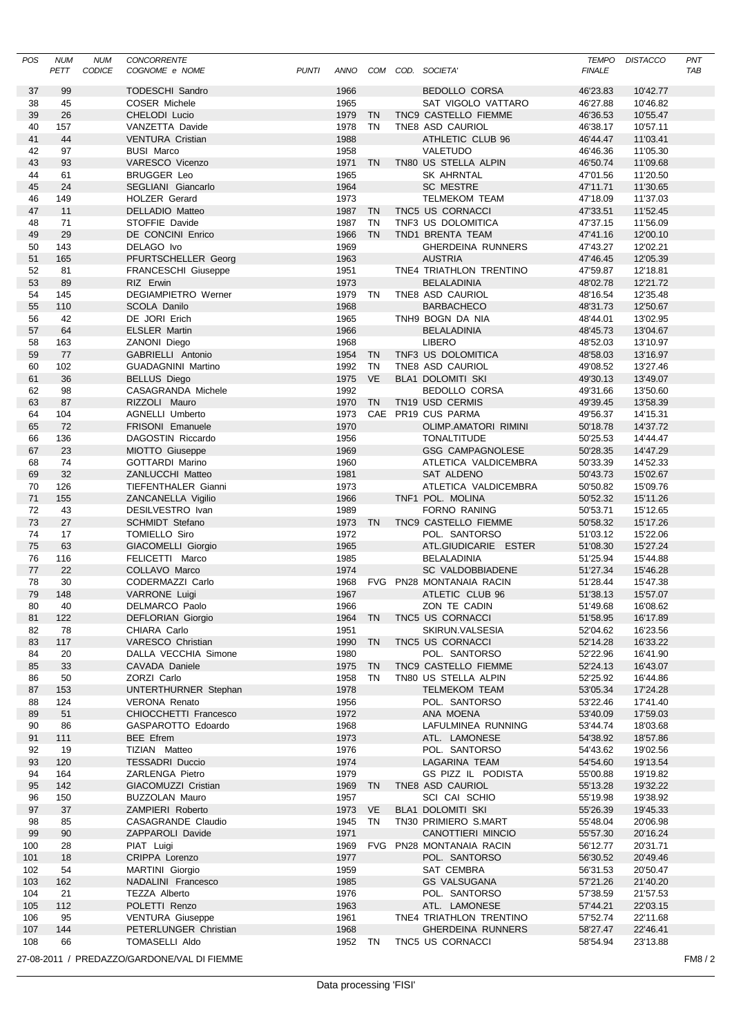| <b>POS</b> | <b>NUM</b><br>PETT | <b>NUM</b><br><b>CODICE</b> | <b>CONCORRENTE</b><br>COGNOME e NOME             | <b>PUNTI</b> |                 |           | ANNO COM COD. SOCIETA'                              | <b>TEMPO</b><br><b>FINALE</b> | <b>DISTACCO</b>      | PNT<br><b>TAB</b> |
|------------|--------------------|-----------------------------|--------------------------------------------------|--------------|-----------------|-----------|-----------------------------------------------------|-------------------------------|----------------------|-------------------|
| 37         | 99                 |                             | <b>TODESCHI Sandro</b>                           |              | 1966            |           | <b>BEDOLLO CORSA</b>                                | 46'23.83                      | 10'42.77             |                   |
| 38         | 45                 |                             | COSER Michele                                    |              | 1965            |           | SAT VIGOLO VATTARO                                  | 46'27.88                      | 10'46.82             |                   |
| 39         | 26                 |                             | CHELODI Lucio                                    |              | 1979            | TN        | TNC9 CASTELLO FIEMME                                | 46'36.53                      | 10'55.47             |                   |
| 40         | 157                |                             | VANZETTA Davide                                  |              | 1978 TN         |           | TNE8 ASD CAURIOL                                    | 46'38.17                      | 10'57.11             |                   |
| 41         | 44                 |                             | <b>VENTURA Cristian</b>                          |              | 1988            |           | ATHLETIC CLUB 96                                    | 46'44.47                      | 11'03.41             |                   |
| 42         | 97                 |                             | <b>BUSI Marco</b>                                |              | 1958            |           | VALETUDO                                            | 46'46.36                      | 11'05.30             |                   |
| 43         | 93                 |                             | VARESCO Vicenzo                                  |              | 1971            | TN        | TN80 US STELLA ALPIN                                | 46'50.74                      | 11'09.68             |                   |
| 44         | 61                 |                             | <b>BRUGGER Leo</b>                               |              | 1965            |           | SK AHRNTAL                                          | 47'01.56                      | 11'20.50             |                   |
| 45         | 24                 |                             | SEGLIANI Giancarlo                               |              | 1964<br>1973    |           | <b>SC MESTRE</b>                                    | 47'11.71                      | 11'30.65             |                   |
| 46<br>47   | 149<br>11          |                             | <b>HOLZER Gerard</b><br><b>DELLADIO Matteo</b>   |              | 1987            | <b>TN</b> | <b>TELMEKOM TEAM</b><br>TNC5 US CORNACCI            | 47'18.09<br>47'33.51          | 11'37.03<br>11'52.45 |                   |
| 48         | 71                 |                             | STOFFIE Davide                                   |              | 1987            | <b>TN</b> | TNF3 US DOLOMITICA                                  | 47'37.15                      | 11'56.09             |                   |
| 49         | 29                 |                             | DE CONCINI Enrico                                |              | 1966            | <b>TN</b> | TND1 BRENTA TEAM                                    | 47'41.16                      | 12'00.10             |                   |
| 50         | 143                |                             | DELAGO Ivo                                       |              | 1969            |           | <b>GHERDEINA RUNNERS</b>                            | 47'43.27                      | 12'02.21             |                   |
| 51         | 165                |                             | PFURTSCHELLER Georg                              |              | 1963            |           | <b>AUSTRIA</b>                                      | 47'46.45                      | 12'05.39             |                   |
| 52         | 81                 |                             | <b>FRANCESCHI Giuseppe</b>                       |              | 1951            |           | TNE4 TRIATHLON TRENTINO                             | 47'59.87                      | 12'18.81             |                   |
| 53         | 89                 |                             | RIZ Erwin                                        |              | 1973            |           | <b>BELALADINIA</b>                                  | 48'02.78                      | 12'21.72             |                   |
| 54         | 145                |                             | <b>DEGIAMPIETRO Werner</b>                       |              | 1979 TN         |           | TNE8 ASD CAURIOL                                    | 48'16.54                      | 12'35.48             |                   |
| 55<br>56   | 110<br>42          |                             | <b>SCOLA Danilo</b><br>DE JORI Erich             |              | 1968<br>1965    |           | <b>BARBACHECO</b><br>TNH9 BOGN DA NIA               | 48'31.73<br>48'44.01          | 12'50.67<br>13'02.95 |                   |
| 57         | 64                 |                             | <b>ELSLER Martin</b>                             |              | 1966            |           | <b>BELALADINIA</b>                                  | 48'45.73                      | 13'04.67             |                   |
| 58         | 163                |                             | ZANONI Diego                                     |              | 1968            |           | <b>LIBERO</b>                                       | 48'52.03                      | 13'10.97             |                   |
| 59         | 77                 |                             | GABRIELLI Antonio                                |              | 1954            | <b>TN</b> | TNF3 US DOLOMITICA                                  | 48'58.03                      | 13'16.97             |                   |
| 60         | 102                |                             | <b>GUADAGNINI Martino</b>                        |              | 1992            | <b>TN</b> | TNE8 ASD CAURIOL                                    | 49'08.52                      | 13'27.46             |                   |
| 61         | 36                 |                             | <b>BELLUS Diego</b>                              |              | 1975 VE         |           | <b>BLA1 DOLOMITI SKI</b>                            | 49'30.13                      | 13'49.07             |                   |
| 62         | 98                 |                             | CASAGRANDA Michele                               |              | 1992            |           | BEDOLLO CORSA                                       | 49'31.66                      | 13'50.60             |                   |
| 63         | 87                 |                             | RIZZOLI Mauro                                    |              | 1970            | TN        | TN19 USD CERMIS                                     | 49'39.45                      | 13'58.39             |                   |
| 64         | 104                |                             | AGNELLI Umberto                                  |              | 1973            |           | CAE PR19 CUS PARMA                                  | 49'56.37                      | 14'15.31             |                   |
| 65         | 72                 |                             | FRISONI Emanuele                                 |              | 1970            |           | <b>OLIMP.AMATORI RIMINI</b>                         | 50'18.78                      | 14'37.72             |                   |
| 66         | 136                |                             | DAGOSTIN Riccardo                                |              | 1956            |           | <b>TONALTITUDE</b>                                  | 50'25.53                      | 14'44.47             |                   |
| 67         | 23                 |                             | MIOTTO Giuseppe                                  |              | 1969            |           | <b>GSG CAMPAGNOLESE</b>                             | 50'28.35                      | 14'47.29             |                   |
| 68         | 74<br>32           |                             | <b>GOTTARDI Marino</b>                           |              | 1960            |           | ATLETICA VALDICEMBRA                                | 50'33.39                      | 14'52.33             |                   |
| 69<br>70   | 126                |                             | ZANLUCCHI Matteo<br>TIEFENTHALER Gianni          |              | 1981<br>1973    |           | SAT ALDENO<br>ATLETICA VALDICEMBRA                  | 50'43.73<br>50'50.82          | 15'02.67<br>15'09.76 |                   |
| 71         | 155                |                             | ZANCANELLA Vigilio                               |              | 1966            |           | TNF1 POL. MOLINA                                    | 50'52.32                      | 15'11.26             |                   |
| 72         | 43                 |                             | DESILVESTRO Ivan                                 |              | 1989            |           | FORNO RANING                                        | 50'53.71                      | 15'12.65             |                   |
| 73         | 27                 |                             | <b>SCHMIDT Stefano</b>                           |              | 1973 TN         |           | TNC9 CASTELLO FIEMME                                | 50'58.32                      | 15'17.26             |                   |
| 74         | 17                 |                             | <b>TOMIELLO Siro</b>                             |              | 1972            |           | POL. SANTORSO                                       | 51'03.12                      | 15'22.06             |                   |
| 75         | 63                 |                             | <b>GIACOMELLI Giorgio</b>                        |              | 1965            |           | ATL.GIUDICARIE ESTER                                | 51'08.30                      | 15'27.24             |                   |
| 76         | 116                |                             | FELICETTI Marco                                  |              | 1985            |           | <b>BELALADINIA</b>                                  | 51'25.94                      | 15'44.88             |                   |
| 77         | 22                 |                             | COLLAVO Marco                                    |              | 1974            |           | SC VALDOBBIADENE                                    | 51'27.34                      | 15'46.28             |                   |
| 78         | 30                 |                             | CODERMAZZI Carlo                                 |              | 1968            |           | FVG PN28 MONTANAIA RACIN                            | 51'28.44                      | 15'47.38             |                   |
| 79         | 148                |                             | VARRONE Luigi                                    |              | 1967            |           | ATLETIC CLUB 96                                     | 51'38.13                      | 15'57.07             |                   |
| 80         | 40                 |                             | DELMARCO Paolo<br><b>DEFLORIAN Giorgio</b>       |              | 1966            |           | ZON TE CADIN<br>TNC5 US CORNACCI                    | 51'49.68                      | 16'08.62             |                   |
| 81<br>82   | 122<br>78          |                             | CHIARA Carlo                                     |              | 1964 TN<br>1951 |           | SKIRUN.VALSESIA                                     | 51'58.95<br>52'04.62          | 16'17.89<br>16'23.56 |                   |
| 83         | 117                |                             | VARESCO Christian                                |              | 1990 TN         |           | TNC5 US CORNACCI                                    | 52'14.28                      | 16'33.22             |                   |
| 84         | 20                 |                             | DALLA VECCHIA Simone                             |              | 1980            |           | POL. SANTORSO                                       | 52'22.96                      | 16'41.90             |                   |
| 85         | 33                 |                             | CAVADA Daniele                                   |              | 1975 TN         |           | TNC9 CASTELLO FIEMME                                | 52'24.13                      | 16'43.07             |                   |
| 86         | 50                 |                             | ZORZI Carlo                                      |              | 1958            | TN        | TN80 US STELLA ALPIN                                | 52'25.92                      | 16'44.86             |                   |
| 87         | 153                |                             | UNTERTHURNER Stephan                             |              | 1978            |           | <b>TELMEKOM TEAM</b>                                | 53'05.34                      | 17'24.28             |                   |
| 88         | 124                |                             | <b>VERONA Renato</b>                             |              | 1956            |           | POL. SANTORSO                                       | 53'22.46                      | 17'41.40             |                   |
| 89         | 51                 |                             | CHIOCCHETTI Francesco                            |              | 1972            |           | ANA MOENA                                           | 53'40.09                      | 17'59.03             |                   |
| 90         | 86                 |                             | GASPAROTTO Edoardo                               |              | 1968            |           | LAFULMINEA RUNNING                                  | 53'44.74                      | 18'03.68             |                   |
| 91         | 111                |                             | <b>BEE Efrem</b>                                 |              | 1973            |           | ATL. LAMONESE                                       | 54'38.92                      | 18'57.86             |                   |
| 92         | 19                 |                             | TIZIAN Matteo                                    |              | 1976            |           | POL. SANTORSO                                       | 54'43.62                      | 19'02.56             |                   |
| 93<br>94   | 120<br>164         |                             | <b>TESSADRI Duccio</b><br>ZARLENGA Pietro        |              | 1974<br>1979    |           | LAGARINA TEAM<br><b>GS PIZZ IL PODISTA</b>          | 54'54.60<br>55'00.88          | 19'13.54<br>19'19.82 |                   |
| 95         | 142                |                             | GIACOMUZZI Cristian                              |              | 1969 TN         |           | TNE8 ASD CAURIOL                                    | 55'13.28                      | 19'32.22             |                   |
| 96         | 150                |                             | <b>BUZZOLAN Mauro</b>                            |              | 1957            |           | SCI CAI SCHIO                                       | 55'19.98                      | 19'38.92             |                   |
| 97         | 37                 |                             | ZAMPIERI Roberto                                 |              | 1973 VE         |           | BLA1 DOLOMITI SKI                                   | 55'26.39                      | 19'45.33             |                   |
| 98         | 85                 |                             | CASAGRANDE Claudio                               |              | 1945            | TN        | TN30 PRIMIERO S.MART                                | 55'48.04                      | 20'06.98             |                   |
| 99         | 90                 |                             | ZAPPAROLI Davide                                 |              | 1971            |           | CANOTTIERI MINCIO                                   | 55'57.30                      | 20'16.24             |                   |
| 100        | 28                 |                             | PIAT Luigi                                       |              | 1969            |           | FVG PN28 MONTANAIA RACIN                            | 56'12.77                      | 20'31.71             |                   |
| 101        | 18                 |                             | CRIPPA Lorenzo                                   |              | 1977            |           | POL. SANTORSO                                       | 56'30.52                      | 20'49.46             |                   |
| 102        | 54                 |                             | MARTINI Giorgio                                  |              | 1959            |           | SAT CEMBRA                                          | 56'31.53                      | 20'50.47             |                   |
| 103        | 162                |                             | NADALINI Francesco                               |              | 1985            |           | <b>GS VALSUGANA</b>                                 | 57'21.26                      | 21'40.20             |                   |
| 104        | 21                 |                             | TEZZA Alberto                                    |              | 1976            |           | POL. SANTORSO                                       | 57'38.59                      | 21'57.53             |                   |
| 105        | 112                |                             | POLETTI Renzo                                    |              | 1963            |           | ATL. LAMONESE                                       | 57'44.21                      | 22'03.15             |                   |
| 106<br>107 | 95<br>144          |                             | <b>VENTURA Giuseppe</b><br>PETERLUNGER Christian |              | 1961<br>1968    |           | TNE4 TRIATHLON TRENTINO<br><b>GHERDEINA RUNNERS</b> | 57'52.74<br>58'27.47          | 22'11.68<br>22'46.41 |                   |
| 108        | 66                 |                             | <b>TOMASELLI Aldo</b>                            |              | 1952 TN         |           | TNC5 US CORNACCI                                    | 58'54.94                      | 23'13.88             |                   |
|            |                    |                             |                                                  |              |                 |           |                                                     |                               |                      |                   |